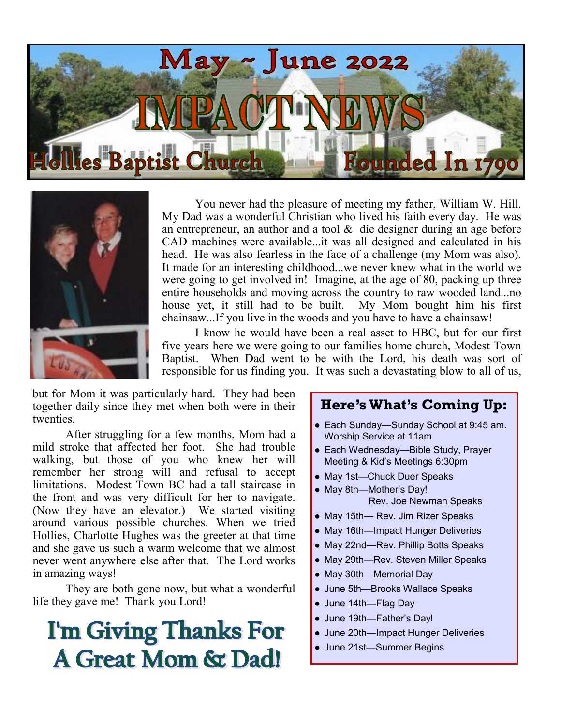



You never had the pleasure of meeting my father, William W. Hill. My Dad was a wonderful Christian who lived his faith every day. He was an entrepreneur, an author and a tool  $\&$  die designer during an age before CAD machines were available...it was all designed and calculated in his head. He was also fearless in the face of a challenge (my Mom was also). It made for an interesting childhood...we never knew what in the world we were going to get involved in! Imagine, at the age of 80, packing up three entire households and moving across the country to raw wooded land...no house yet, it still had to be built. My Mom bought him his first chainsaw...If you live in the woods and you have to have a chainsaw!

I know he would have been a real asset to HBC, but for our first five years here we were going to our families home church, Modest Town Baptist. When Dad went to be with the Lord, his death was sort of responsible for us finding you. It was such a devastating blow to all of us,

but for Mom it was particularly hard. They had been together daily since they met when both were in their twenties.

After struggling for a few months, Mom had a mild stroke that affected her foot. She had trouble walking, but those of you who knew her will remember her strong will and refusal to accept limitations. Modest Town BC had a tall staircase in the front and was very difficult for her to navigate. (Now they have an elevator.) We started visiting around various possible churches. When we tried Hollies, Charlotte Hughes was the greeter at that time and she gave us such a warm welcome that we almost never went anywhere else after that. The Lord works in amazing ways!

They are both gone now, but what a wonderful life they gave me! Thank you Lord!

## **I'm Giving Thanks For A Great Mom & Dad!**

## **Here's What's Coming Up:**

- Each Sunday—Sunday School at 9:45 am. Worship Service at 11am
- Each Wednesday—Bible Study, Prayer Meeting & Kid's Meetings 6:30pm
- May 1st—Chuck Duer Speaks
- May 8th—Mother's Day! Rev. Joe Newman Speaks
- May 15th— Rev. Jim Rizer Speaks
- May 16th—Impact Hunger Deliveries
- May 22nd—Rev. Phillip Botts Speaks
- May 29th—Rev. Steven Miller Speaks
- May 30th—Memorial Day
- June 5th—Brooks Wallace Speaks
- June 14th—Flag Day
- June 19th—Father's Day!
- June 20th—Impact Hunger Deliveries
- June 21st—Summer Begins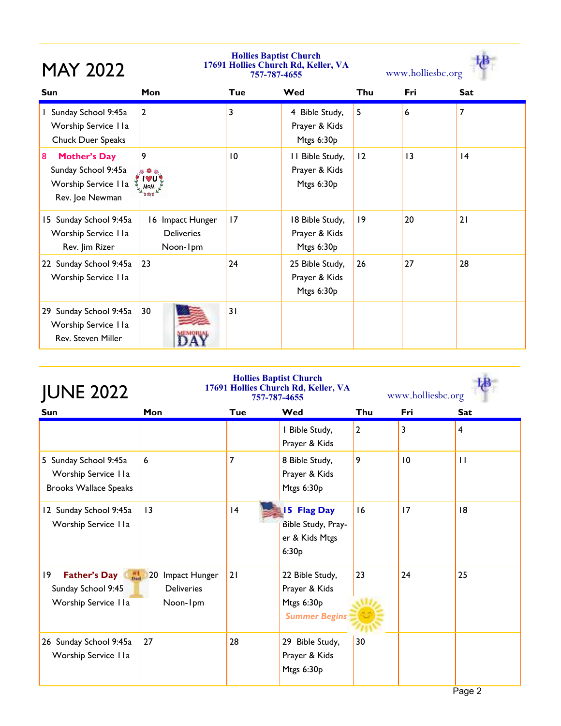| <b>MAY 2022</b>                                                                            | <b>Hollies Baptist Church</b><br>17691 Hollies Church Rd, Keller, VA<br>757-787-4655 |     |                                                |     | www.holliesbc.org |            |  |  |
|--------------------------------------------------------------------------------------------|--------------------------------------------------------------------------------------|-----|------------------------------------------------|-----|-------------------|------------|--|--|
| <b>Sun</b>                                                                                 | Mon                                                                                  | Tue | Wed                                            | Thu | Fri               | <b>Sat</b> |  |  |
| 1 Sunday School 9:45a<br>Worship Service I Ia<br>Chuck Duer Speaks                         | $\overline{2}$                                                                       | 3   | 4 Bible Study,<br>Prayer & Kids<br>Mtgs 6:30p  | 5   | 6                 | 7          |  |  |
| <b>Mother's Day</b><br>8<br>Sunday School 9:45a<br>Worship Service I Ia<br>Rev. Joe Newman | 9<br>8                                                                               | 10  | II Bible Study,<br>Prayer & Kids<br>Mtgs 6:30p | 12  | $\overline{13}$   | 4          |  |  |
| 15 Sunday School 9:45a<br>Worship Service I Ia<br>Rev. Jim Rizer                           | 16 Impact Hunger<br><b>Deliveries</b><br>Noon-1pm                                    | 17  | 18 Bible Study,<br>Prayer & Kids<br>Mtgs 6:30p | 9   | 20                | 21         |  |  |
| 22 Sunday School 9:45a<br>Worship Service I Ia                                             | 23                                                                                   | 24  | 25 Bible Study,<br>Prayer & Kids<br>Mtgs 6:30p | 26  | 27                | 28         |  |  |
| 29 Sunday School 9:45a<br>Worship Service I Ia<br><b>Rev. Steven Miller</b>                | 30                                                                                   | 31  |                                                |     |                   |            |  |  |

| <b>JUNE 2022</b>                                                                |                                                             | <b>Hollies Baptist Church</b><br>17691 Hollies Church Rd, Keller, VA<br>757-787-4655 | www.holliesbc.org                                                      |     |     |                |
|---------------------------------------------------------------------------------|-------------------------------------------------------------|--------------------------------------------------------------------------------------|------------------------------------------------------------------------|-----|-----|----------------|
| Sun                                                                             | Mon                                                         | Tue                                                                                  | Wed                                                                    | Thu | Fri | <b>Sat</b>     |
|                                                                                 |                                                             |                                                                                      | I Bible Study,<br>Prayer & Kids                                        | 2   | 3   | $\overline{4}$ |
| 5 Sunday School 9:45a<br>Worship Service IIa<br><b>Brooks Wallace Speaks</b>    | 6                                                           | 7                                                                                    | 8 Bible Study,<br>Prayer & Kids<br>Mtgs 6:30p                          | 9   | 10  | $\mathbf{H}$   |
| 12 Sunday School 9:45a<br>Worship Service IIa                                   | $\overline{13}$                                             | 4                                                                                    | <b>15 Flag Day</b><br>Bible Study, Pray-<br>er & Kids Mtgs<br>6:30p    | 16  | 17  | 18             |
| $ 9\rangle$<br><b>Father's Day</b><br>Sunday School 9:45<br>Worship Service IIa | Impact Hunger<br><b>20</b><br><b>Deliveries</b><br>Noon-1pm | 21                                                                                   | 22 Bible Study,<br>Prayer & Kids<br>Mtgs 6:30p<br><b>Summer Begins</b> | 23  | 24  | 25             |
| 26 Sunday School 9:45a<br>Worship Service IIa                                   | 27                                                          | 28                                                                                   | Bible Study,<br>29<br>Prayer & Kids<br>Mtgs 6:30p                      | 30  |     |                |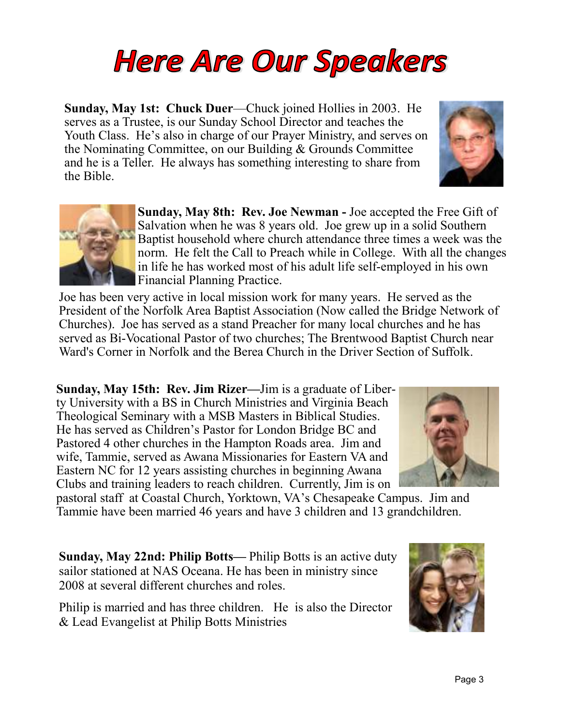## **Here Are Our Speakers**

**Sunday, May 1st: Chuck Duer**—Chuck joined Hollies in 2003. He serves as a Trustee, is our Sunday School Director and teaches the Youth Class. He's also in charge of our Prayer Ministry, and serves on the Nominating Committee, on our Building & Grounds Committee and he is a Teller. He always has something interesting to share from the Bible.

> **Sunday, May 8th: Rev. Joe Newman -** Joe accepted the Free Gift of Salvation when he was 8 years old. Joe grew up in a solid Southern Baptist household where church attendance three times a week was the norm. He felt the Call to Preach while in College. With all the changes in life he has worked most of his adult life self-employed in his own Financial Planning Practice.

Joe has been very active in local mission work for many years. He served as the President of the Norfolk Area Baptist Association (Now called the Bridge Network of Churches). Joe has served as a stand Preacher for many local churches and he has served as Bi-Vocational Pastor of two churches; The Brentwood Baptist Church near Ward's Corner in Norfolk and the Berea Church in the Driver Section of Suffolk.

**Sunday, May 15th: Rev. Jim Rizer—**Jim is a graduate of Liberty University with a BS in Church Ministries and Virginia Beach Theological Seminary with a MSB Masters in Biblical Studies. He has served as Children's Pastor for London Bridge BC and Pastored 4 other churches in the Hampton Roads area. Jim and wife, Tammie, served as Awana Missionaries for Eastern VA and Eastern NC for 12 years assisting churches in beginning Awana Clubs and training leaders to reach children. Currently, Jim is on

pastoral staff at Coastal Church, Yorktown, VA's Chesapeake Campus. Jim and Tammie have been married 46 years and have 3 children and 13 grandchildren.

**Sunday, May 22nd: Philip Botts—** Philip Botts is an active duty sailor stationed at NAS Oceana. He has been in ministry since 2008 at several different churches and roles.

Philip is married and has three children. He is also the Director & Lead Evangelist at Philip Botts Ministries





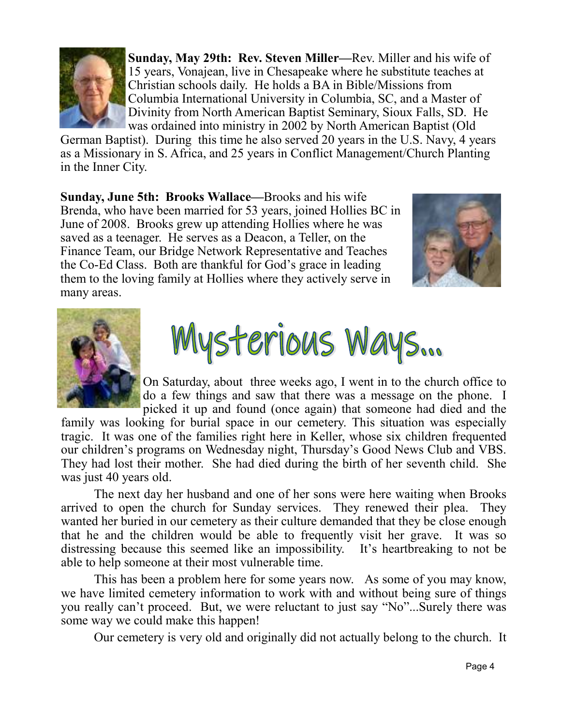

**Sunday, May 29th: Rev. Steven Miller—**Rev. Miller and his wife of 15 years, Vonajean, live in Chesapeake where he substitute teaches at Christian schools daily. He holds a BA in Bible/Missions from Columbia International University in Columbia, SC, and a Master of Divinity from North American Baptist Seminary, Sioux Falls, SD. He was ordained into ministry in 2002 by North American Baptist (Old

German Baptist). During this time he also served 20 years in the U.S. Navy, 4 years as a Missionary in S. Africa, and 25 years in Conflict Management/Church Planting in the Inner City.

**Sunday, June 5th: Brooks Wallace—**Brooks and his wife Brenda, who have been married for 53 years, joined Hollies BC in June of 2008. Brooks grew up attending Hollies where he was saved as a teenager. He serves as a Deacon, a Teller, on the Finance Team, our Bridge Network Representative and Teaches the Co-Ed Class. Both are thankful for God's grace in leading them to the loving family at Hollies where they actively serve in many areas.







On Saturday, about three weeks ago, I went in to the church office to do a few things and saw that there was a message on the phone. I picked it up and found (once again) that someone had died and the

family was looking for burial space in our cemetery. This situation was especially tragic. It was one of the families right here in Keller, whose six children frequented our children's programs on Wednesday night, Thursday's Good News Club and VBS. They had lost their mother. She had died during the birth of her seventh child. She was just 40 years old.

The next day her husband and one of her sons were here waiting when Brooks arrived to open the church for Sunday services. They renewed their plea. They wanted her buried in our cemetery as their culture demanded that they be close enough that he and the children would be able to frequently visit her grave. It was so distressing because this seemed like an impossibility. It's heartbreaking to not be able to help someone at their most vulnerable time.

This has been a problem here for some years now. As some of you may know, we have limited cemetery information to work with and without being sure of things you really can't proceed. But, we were reluctant to just say "No"...Surely there was some way we could make this happen!

Our cemetery is very old and originally did not actually belong to the church. It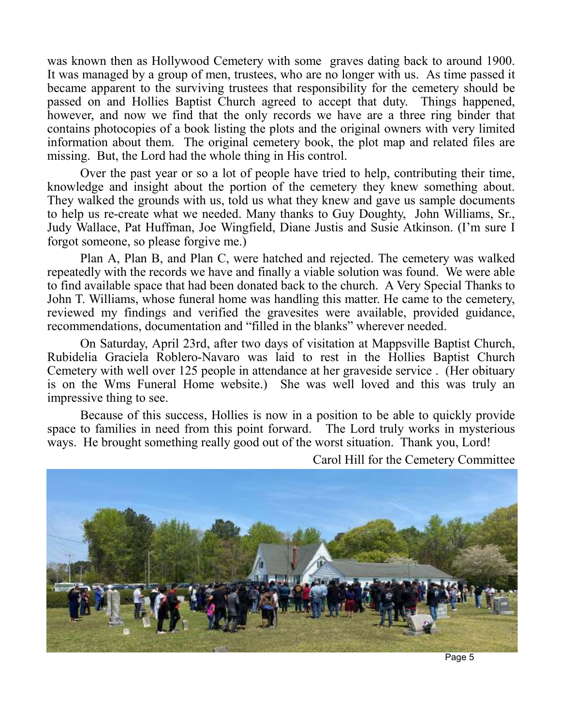was known then as Hollywood Cemetery with some graves dating back to around 1900. It was managed by a group of men, trustees, who are no longer with us. As time passed it became apparent to the surviving trustees that responsibility for the cemetery should be passed on and Hollies Baptist Church agreed to accept that duty. Things happened, however, and now we find that the only records we have are a three ring binder that contains photocopies of a book listing the plots and the original owners with very limited information about them. The original cemetery book, the plot map and related files are missing. But, the Lord had the whole thing in His control.

Over the past year or so a lot of people have tried to help, contributing their time, knowledge and insight about the portion of the cemetery they knew something about. They walked the grounds with us, told us what they knew and gave us sample documents to help us re-create what we needed. Many thanks to Guy Doughty, John Williams, Sr., Judy Wallace, Pat Huffman, Joe Wingfield, Diane Justis and Susie Atkinson. (I'm sure I forgot someone, so please forgive me.)

Plan A, Plan B, and Plan C, were hatched and rejected. The cemetery was walked repeatedly with the records we have and finally a viable solution was found. We were able to find available space that had been donated back to the church. A Very Special Thanks to John T. Williams, whose funeral home was handling this matter. He came to the cemetery, reviewed my findings and verified the gravesites were available, provided guidance, recommendations, documentation and "filled in the blanks" wherever needed.

On Saturday, April 23rd, after two days of visitation at Mappsville Baptist Church, Rubidelia Graciela Roblero-Navaro was laid to rest in the Hollies Baptist Church Cemetery with well over 125 people in attendance at her graveside service . (Her obituary is on the Wms Funeral Home website.) She was well loved and this was truly an impressive thing to see.

Because of this success, Hollies is now in a position to be able to quickly provide space to families in need from this point forward. The Lord truly works in mysterious ways. He brought something really good out of the worst situation. Thank you, Lord!



Carol Hill for the Cemetery Committee

Page 5